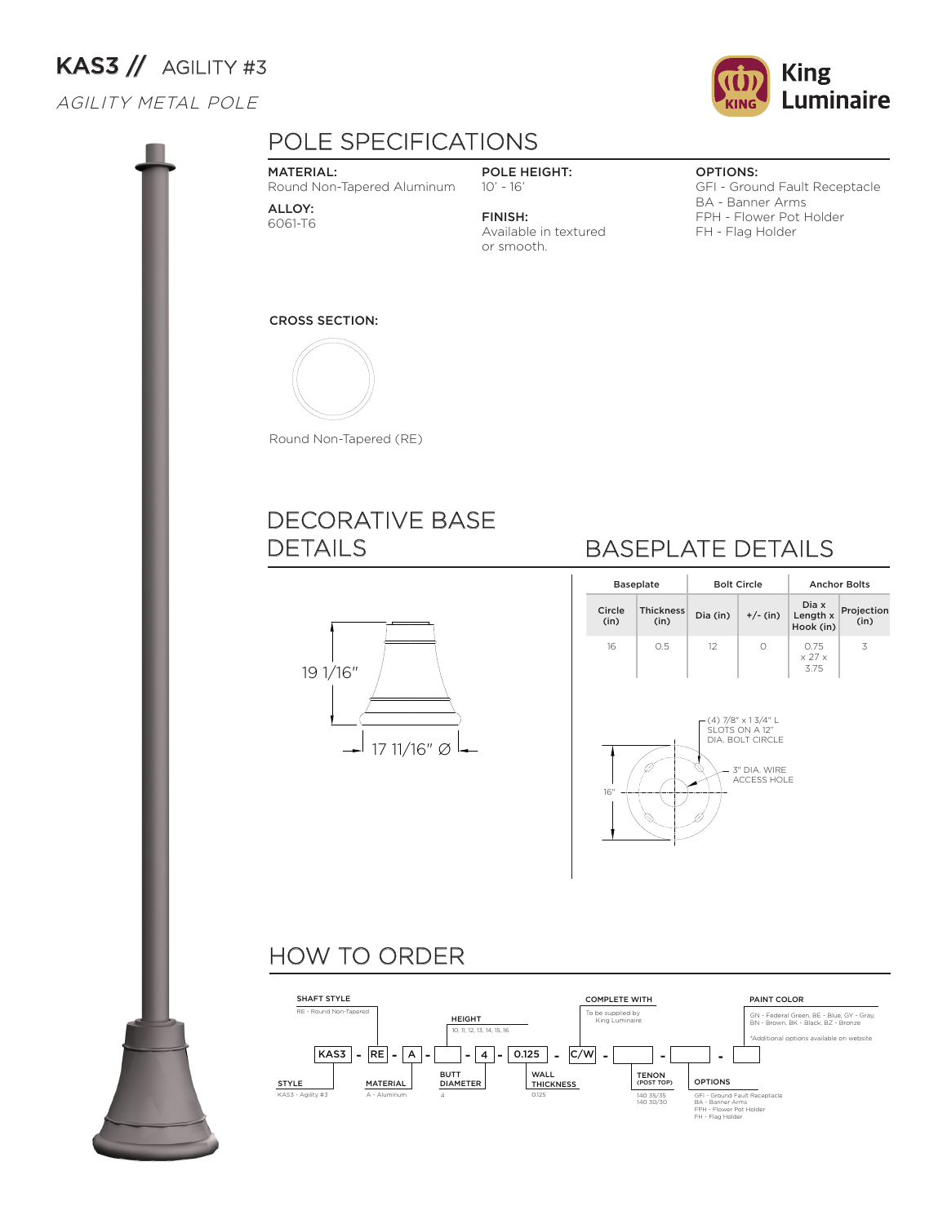# KAS3 // AGILITY #3

### AGILITY METAL POLE





## POLE SPECIFICATIONS

#### MATERIAL:

Round Non-Tapered Aluminum

ALLOY: 6061-T6

POLE HEIGHT: 10' - 16' FINISH:

or smooth.

Available in textured

#### OPTIONS:

GFI - Ground Fault Receptacle BA - Banner Arms FPH - Flower Pot Holder FH - Flag Holder

#### CROSS SECTION:



Round Non-Tapered (RE)

## DECORATIVE BASE DETAILS



## BASEPLATE DETAILS

|                | <b>Baseplate</b>         |          | <b>Bolt Circle</b> | <b>Anchor Bolts</b>                  |                    |  |  |
|----------------|--------------------------|----------|--------------------|--------------------------------------|--------------------|--|--|
| Circle<br>(in) | <b>Thickness</b><br>(in) | Dia (in) | $+/-$ (in)         | Dia x<br>Length x<br>Hook (in)       | Projection<br>(in) |  |  |
| 16             | 0.5                      | 12       |                    | 0.75<br>$\times$ 27 $\times$<br>3.75 | 3                  |  |  |



## HOW TO ORDER